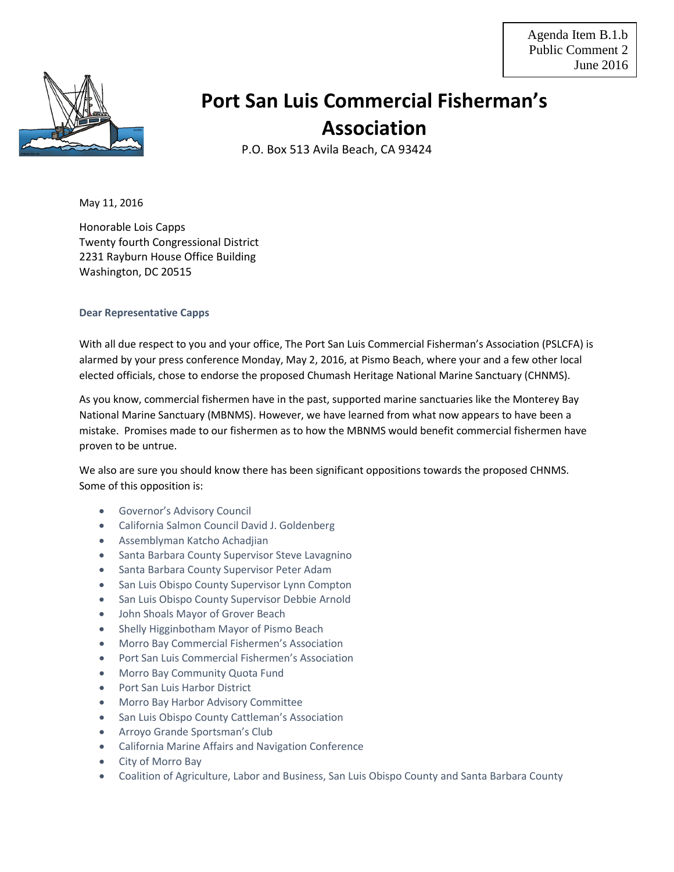

## **Port San Luis Commercial Fisherman's Association**

P.O. Box 513 Avila Beach, CA 93424

May 11, 2016

Honorable Lois Capps Twenty fourth Congressional District 2231 Rayburn House Office Building Washington, DC 20515

## **Dear Representative Capps**

With all due respect to you and your office, The Port San Luis Commercial Fisherman's Association (PSLCFA) is alarmed by your press conference Monday, May 2, 2016, at Pismo Beach, where your and a few other local elected officials, chose to endorse the proposed Chumash Heritage National Marine Sanctuary (CHNMS).

As you know, commercial fishermen have in the past, supported marine sanctuaries like the Monterey Bay National Marine Sanctuary (MBNMS). However, we have learned from what now appears to have been a mistake. Promises made to our fishermen as to how the MBNMS would benefit commercial fishermen have proven to be untrue.

We also are sure you should know there has been significant oppositions towards the proposed CHNMS. Some of this opposition is:

- Governor's Advisory Council
- California Salmon Council David J. Goldenberg
- Assemblyman Katcho Achadjian
- Santa Barbara County Supervisor Steve Lavagnino
- Santa Barbara County Supervisor Peter Adam
- San Luis Obispo County Supervisor Lynn Compton
- San Luis Obispo County Supervisor Debbie Arnold
- John Shoals Mayor of Grover Beach
- Shelly Higginbotham Mayor of Pismo Beach
- Morro Bay Commercial Fishermen's Association
- Port San Luis Commercial Fishermen's Association
- Morro Bay Community Quota Fund
- Port San Luis Harbor District
- Morro Bay Harbor Advisory Committee
- San Luis Obispo County Cattleman's Association
- Arroyo Grande Sportsman's Club
- California Marine Affairs and Navigation Conference
- City of Morro Bay
- Coalition of Agriculture, Labor and Business, San Luis Obispo County and Santa Barbara County